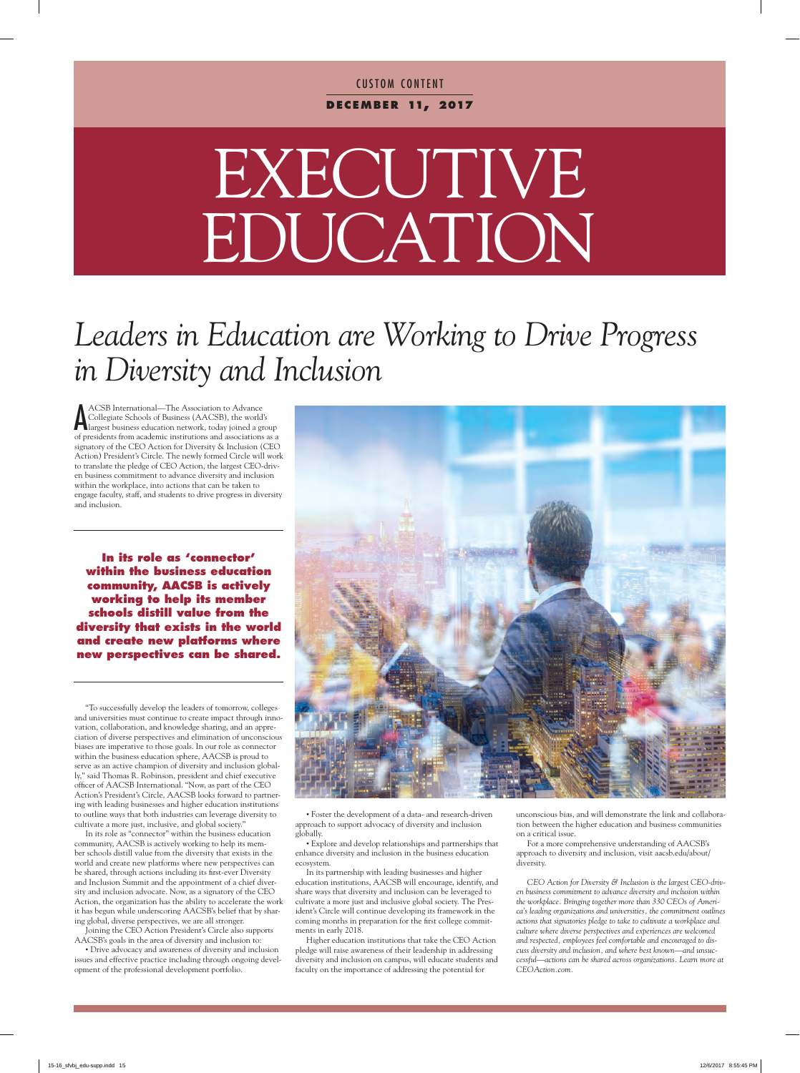### **CUSTOM CONTENT d e c em b e r 11, 2017**

# EXECUTIVE EDUCATION

## *Leaders in Education are Working to Drive Progress in Diversity and Inclusion*

ACSB International—The Association to Advance<br>Collegiate Schools of Business (AACSB), the world's<br>largest business education network, today joined a group ACSB International—The Association to Advance Collegiate Schools of Business (AACSB), the world's of presidents from academic institutions and associations as a signatory of the CEO Action for Diversity & Inclusion (CEO Action) President's Circle. The newly formed Circle will work to translate the pledge of CEO Action, the largest CEO-driven business commitment to advance diversity and inclusion within the workplace, into actions that can be taken to engage faculty, staff, and students to drive progress in diversity and inclusion.

**In its role as 'connector' within the business education community, AACSB is actively working to help its member schools distill value from the diversity that exists in the world and create new platforms where new perspectives can be shared.**

"To successfully develop the leaders of tomorrow, colleges and universities must continue to create impact through innovation, collaboration, and knowledge sharing, and an appreciation of diverse perspectives and elimination of unconscious biases are imperative to those goals. In our role as connector within the business education sphere, AACSB is proud to serve as an active champion of diversity and inclusion globally," said Thomas R. Robinson, president and chief executive officer of AACSB International. "Now, as part of the CEO Action's President's Circle, AACSB looks forward to partnering with leading businesses and higher education institutions to outline ways that both industries can leverage diversity to cultivate a more just, inclusive, and global society."

In its role as "connector" within the business education community, AACSB is actively working to help its member schools distill value from the diversity that exists in the world and create new platforms where new perspectives can be shared, through actions including its first-ever Diversity and Inclusion Summit and the appointment of a chief diversity and inclusion advocate. Now, as a signatory of the CEO Action, the organization has the ability to accelerate the work it has begun while underscoring AACSB's belief that by sharing global, diverse perspectives, we are all stronger.

Joining the CEO Action President's Circle also supports AACSB's goals in the area of diversity and inclusion to:

• Drive advocacy and awareness of diversity and inclusion issues and effective practice including through ongoing development of the professional development portfolio.



• Foster the development of a data- and research-driven approach to support advocacy of diversity and inclusion globally.

• Explore and develop relationships and partnerships that enhance diversity and inclusion in the business education ecosystem.

In its partnership with leading businesses and higher education institutions, AACSB will encourage, identify, and share ways that diversity and inclusion can be leveraged to cultivate a more just and inclusive global society. The President's Circle will continue developing its framework in the coming months in preparation for the first college commitments in early 2018.

Higher education institutions that take the CEO Action pledge will raise awareness of their leadership in addressing diversity and inclusion on campus, will educate students and faculty on the importance of addressing the potential for

unconscious bias, and will demonstrate the link and collaboration between the higher education and business communities on a critical issue.

For a more comprehensive understanding of AACSB's approach to diversity and inclusion, visit aacsb.edu/about/ diversity.

*CEO Action for Diversity & Inclusion is the largest CEO-driven business commitment to advance diversity and inclusion within the workplace. Bringing together more than 330 CEOs of America's leading organizations and universities, the commitment outlines actions that signatories pledge to take to cultivate a workplace and culture where diverse perspectives and experiences are welcomed and respected, employees feel comfortable and encouraged to discuss diversity and inclusion, and where best known—and unsuccessful—actions can be shared across organizations. Learn more at CEOAction.com.*